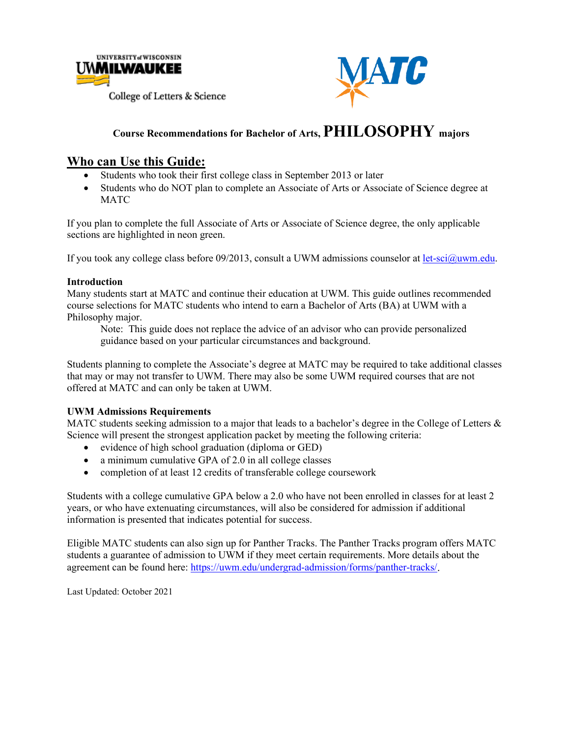



#### **Course Recommendations for Bachelor of Arts, PHILOSOPHY majors**

#### **Who can Use this Guide:**

- Students who took their first college class in September 2013 or later
- Students who do NOT plan to complete an Associate of Arts or Associate of Science degree at **MATC**

If you plan to complete the full Associate of Arts or Associate of Science degree, the only applicable sections are highlighted in neon green.

If you took any college class before 09/2013, consult a UWM admissions counselor at [let-sci@uwm.edu.](mailto:let-sci@uwm.edu)

#### **Introduction**

Many students start at MATC and continue their education at UWM. This guide outlines recommended course selections for MATC students who intend to earn a Bachelor of Arts (BA) at UWM with a Philosophy major.

Note: This guide does not replace the advice of an advisor who can provide personalized guidance based on your particular circumstances and background.

Students planning to complete the Associate's degree at MATC may be required to take additional classes that may or may not transfer to UWM. There may also be some UWM required courses that are not offered at MATC and can only be taken at UWM.

#### **UWM Admissions Requirements**

MATC students seeking admission to a major that leads to a bachelor's degree in the College of Letters  $\&$ Science will present the strongest application packet by meeting the following criteria:

- evidence of high school graduation (diploma or GED)
- a minimum cumulative GPA of 2.0 in all college classes
- completion of at least 12 credits of transferable college coursework

Students with a college cumulative GPA below a 2.0 who have not been enrolled in classes for at least 2 years, or who have extenuating circumstances, will also be considered for admission if additional information is presented that indicates potential for success.

Eligible MATC students can also sign up for Panther Tracks. The Panther Tracks program offers MATC students a guarantee of admission to UWM if they meet certain requirements. More details about the agreement can be found here: [https://uwm.edu/undergrad-admission/forms/panther-tracks/.](https://uwm.edu/undergrad-admission/forms/panther-tracks/)

Last Updated: October 2021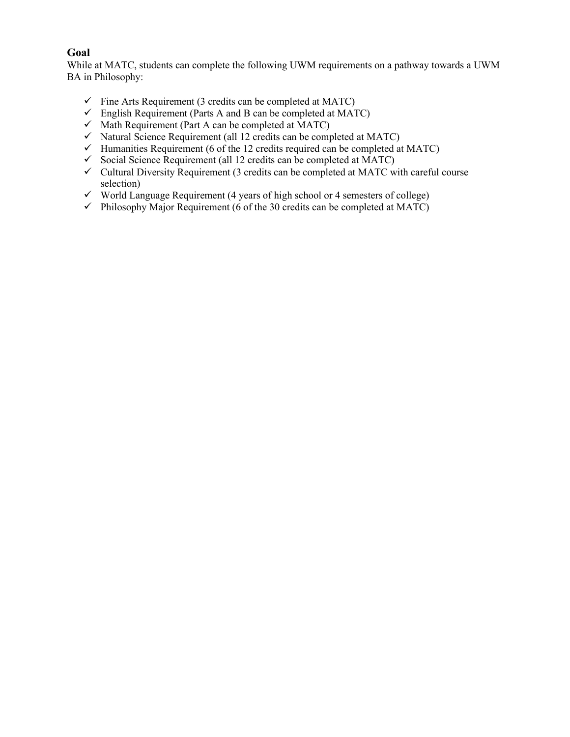#### **Goal**

While at MATC, students can complete the following UWM requirements on a pathway towards a UWM BA in Philosophy:

- $\checkmark$  Fine Arts Requirement (3 credits can be completed at MATC)
- $\checkmark$  English Requirement (Parts A and B can be completed at MATC)
- $\checkmark$  Math Requirement (Part A can be completed at MATC)
- $\checkmark$  Natural Science Requirement (all 12 credits can be completed at MATC)
- $\checkmark$  Humanities Requirement (6 of the 12 credits required can be completed at MATC)
- $\checkmark$  Social Science Requirement (all 12 credits can be completed at MATC)
- $\checkmark$  Cultural Diversity Requirement (3 credits can be completed at MATC with careful course selection)
- $\checkmark$  World Language Requirement (4 years of high school or 4 semesters of college)
- $\checkmark$  Philosophy Major Requirement (6 of the 30 credits can be completed at MATC)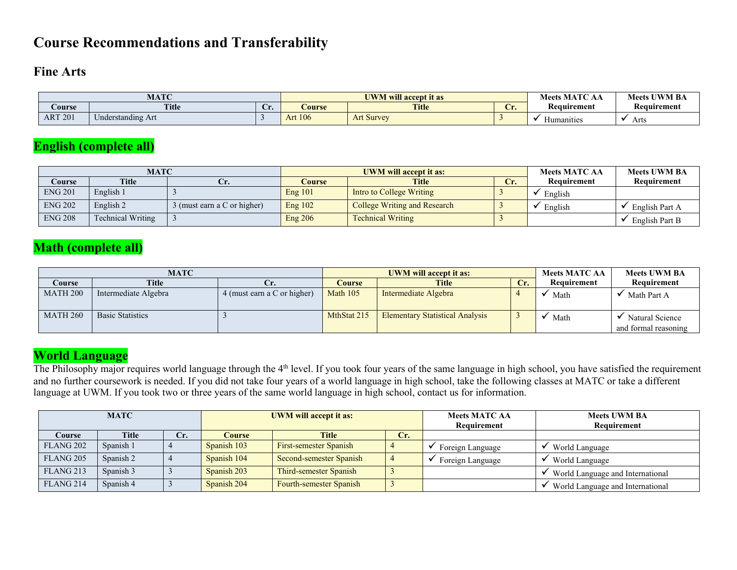## **Course Recommendations and Transferability**

#### **Fine Arts**

|                | <b>MATC</b>                        |    | <b>UWM</b> will accept it as | : MATC<br><b>Meets</b> | <b>Meets UWM BA</b> |             |             |
|----------------|------------------------------------|----|------------------------------|------------------------|---------------------|-------------|-------------|
| <b>Course</b>  | <b>Title</b>                       | v. | Course                       | <b>Title</b>           | $\sim$<br>مدب       | Keauırement | Keauırement |
| <b>ART 201</b> | $\sim$ $\sim$<br>Understanding Art |    | <b>Art 106</b>               | <b>Art Survey</b>      |                     | manities    | Arts        |

### **English (complete all)**

|                | <b>MATC</b>       |                             |         | <b>UWM will accept it as:</b>       | <b>Meets MATC AA</b> | <b>Meets UWM BA</b> |                |
|----------------|-------------------|-----------------------------|---------|-------------------------------------|----------------------|---------------------|----------------|
| Course         | <b>Title</b>      |                             | Course  | <b>Title</b><br>Сr.                 |                      | Requirement         | Requirement    |
| <b>ENG 201</b> | English 1         |                             | Eng 101 | Intro to College Writing            |                      | English             |                |
| <b>ENG 202</b> | English 2         | 3 (must earn a C or higher) | Eng 102 | <b>College Writing and Research</b> |                      | English             | English Part A |
| <b>ENG 208</b> | Technical Writing |                             | Eng 206 | <b>Technical Writing</b>            |                      |                     | English Part B |

### **Math (complete all)**

|                 | MATC                    |                             |             | <b>UWM</b> will accept it as:          |     | <b>Meets MATC AA</b> | <b>Meets UWM BA</b>                     |
|-----------------|-------------------------|-----------------------------|-------------|----------------------------------------|-----|----------------------|-----------------------------------------|
| Course          | <b>Title</b>            | Ur.                         | Course      | <b>Title</b>                           | Cr. | Requirement          | Requirement                             |
| <b>MATH 200</b> | Intermediate Algebra    | 4 (must earn a C or higher) | Math $105$  | Intermediate Algebra                   |     | Math                 | Math Part A                             |
| <b>MATH 260</b> | <b>Basic Statistics</b> |                             | MthStat 215 | <b>Elementary Statistical Analysis</b> |     | Math                 | Natural Science<br>and formal reasoning |

### **World Language**

The Philosophy major requires world language through the 4<sup>th</sup> level. If you took four years of the same language in high school, you have satisfied the requirement and no further coursework is needed. If you did not take four years of a world language in high school, take the following classes at MATC or take a different language at UWM. If you took two or three years of the same world language in high school, contact us for information.

| <b>MATC</b>          |              |     |             | <b>UWM</b> will accept it as: |     | <b>Meets MATC AA</b><br>Requirement | <b>Meets UWM BA</b><br>Requirement |  |
|----------------------|--------------|-----|-------------|-------------------------------|-----|-------------------------------------|------------------------------------|--|
| Course               | <b>Title</b> | Cr. | Course      | <b>Title</b>                  | Cr. |                                     |                                    |  |
| FLANG <sub>202</sub> | Spanish 1    |     | Spanish 103 | First-semester Spanish        |     | Foreign Language                    | World Language                     |  |
| FLANG <sub>205</sub> | Spanish 2    |     | Spanish 104 | Second-semester Spanish       |     | Foreign Language                    | World Language                     |  |
| FLANG <sub>213</sub> | Spanish 3    |     | Spanish 203 | Third-semester Spanish        |     |                                     | World Language and International   |  |
| FLANG <sub>214</sub> | Spanish 4    |     | Spanish 204 | Fourth-semester Spanish       |     |                                     | World Language and International   |  |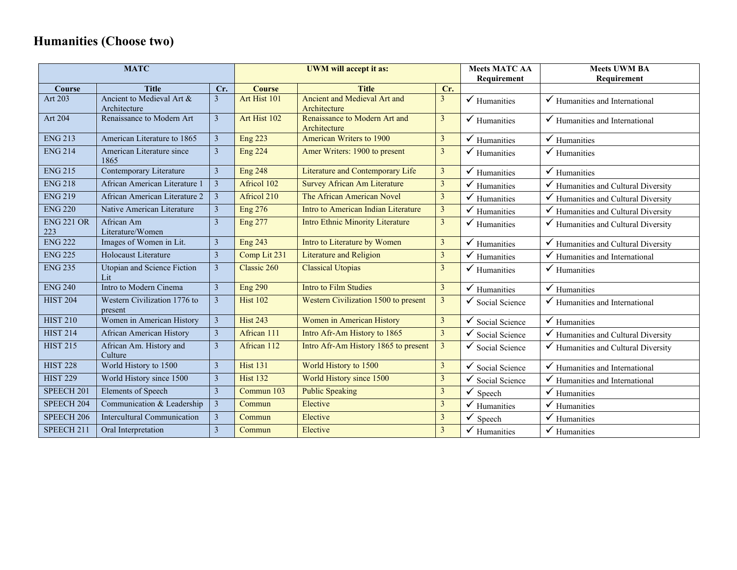# **Humanities (Choose two)**

| <b>MATC</b>              |                                           |                         |                 | <b>UWM</b> will accept it as:                 | <b>Meets MATC AA</b>    | <b>Meets UWM BA</b>         |                                           |
|--------------------------|-------------------------------------------|-------------------------|-----------------|-----------------------------------------------|-------------------------|-----------------------------|-------------------------------------------|
|                          |                                           |                         |                 |                                               |                         | Requirement                 | Requirement                               |
| <b>Course</b>            | <b>Title</b>                              | Cr.                     | <b>Course</b>   | <b>Title</b>                                  | Cr.                     |                             |                                           |
| Art 203                  | Ancient to Medieval Art &<br>Architecture | 3                       | Art Hist 101    | Ancient and Medieval Art and<br>Architecture  | $\mathbf{3}$            | $\checkmark$ Humanities     | $\checkmark$ Humanities and International |
| Art 204                  | Renaissance to Modern Art                 | $\overline{\mathbf{3}}$ | Art Hist 102    | Renaissance to Modern Art and<br>Architecture | $\mathfrak{Z}$          | $\checkmark$ Humanities     | $\checkmark$ Humanities and International |
| <b>ENG 213</b>           | American Literature to 1865               | $\overline{\mathbf{3}}$ | <b>Eng 223</b>  | American Writers to 1900                      | $\mathfrak{Z}$          | ✓<br>Humanities             | $\checkmark$ Humanities                   |
| <b>ENG 214</b>           | American Literature since<br>1865         | $\overline{3}$          | <b>Eng 224</b>  | Amer Writers: 1900 to present                 | $\overline{3}$          | $\checkmark$ Humanities     | Humanities                                |
| <b>ENG 215</b>           | Contemporary Literature                   | $\overline{3}$          | <b>Eng 248</b>  | Literature and Contemporary Life              | $\overline{3}$          | Humanities                  | ✓<br>Humanities                           |
| <b>ENG 218</b>           | African American Literature 1             | $\overline{3}$          | Africol 102     | <b>Survey African Am Literature</b>           | $\mathfrak{Z}$          | Humanities                  | Humanities and Cultural Diversity         |
| <b>ENG 219</b>           | African American Literature 2             | $\overline{\mathbf{3}}$ | Africol 210     | The African American Novel                    | $\overline{\mathbf{3}}$ | Humanities                  | Humanities and Cultural Diversity         |
| <b>ENG 220</b>           | Native American Literature                | $\overline{3}$          | <b>Eng 276</b>  | Intro to American Indian Literature           | $\overline{3}$          | Humanities                  | Humanities and Cultural Diversity         |
| <b>ENG 221 OR</b><br>223 | African Am<br>Literature/Women            | $\overline{3}$          | <b>Eng 277</b>  | <b>Intro Ethnic Minority Literature</b>       | $\overline{3}$          | $\checkmark$ Humanities     | Humanities and Cultural Diversity         |
| <b>ENG 222</b>           | Images of Women in Lit.                   | $\mathfrak{Z}$          | <b>Eng 243</b>  | Intro to Literature by Women                  | $\mathfrak{Z}$          | Humanities<br>✓             | Humanities and Cultural Diversity<br>✓    |
| <b>ENG 225</b>           | Holocaust Literature                      | $\mathfrak{Z}$          | Comp Lit 231    | <b>Literature and Religion</b>                | $\mathfrak{Z}$          | Humanities                  | Humanities and International              |
| <b>ENG 235</b>           | Utopian and Science Fiction<br>Lit        | $\mathfrak{Z}$          | Classic 260     | <b>Classical Utopias</b>                      | $\mathfrak{Z}$          | $\checkmark$ Humanities     | $\checkmark$ Humanities                   |
| <b>ENG 240</b>           | Intro to Modern Cinema                    | $\mathfrak{Z}$          | <b>Eng 290</b>  | Intro to Film Studies                         | $\mathbf{3}$            | $\checkmark$ Humanities     | $\checkmark$ Humanities                   |
| <b>HIST 204</b>          | Western Civilization 1776 to<br>present   | $\overline{3}$          | <b>Hist 102</b> | Western Civilization 1500 to present          | $\mathfrak{Z}$          | $\checkmark$ Social Science | Humanities and International              |
| <b>HIST 210</b>          | Women in American History                 | $\overline{3}$          | <b>Hist 243</b> | Women in American History                     | $\mathbf{3}$            | ✓<br>Social Science         | ✓<br>Humanities                           |
| <b>HIST 214</b>          | African American History                  | $\overline{3}$          | African 111     | Intro Afr-Am History to 1865                  | $\mathfrak{Z}$          | Social Science              | ✓<br>Humanities and Cultural Diversity    |
| <b>HIST 215</b>          | African Am. History and<br>Culture        | $\overline{\mathbf{3}}$ | African 112     | Intro Afr-Am History 1865 to present          | $\overline{\mathbf{3}}$ | Social Science              | Humanities and Cultural Diversity         |
| <b>HIST 228</b>          | World History to 1500                     | $\mathfrak{Z}$          | <b>Hist 131</b> | World History to 1500                         | $\mathfrak{Z}$          | Social Science              | Humanities and International              |
| <b>HIST 229</b>          | World History since 1500                  | $\overline{3}$          | <b>Hist 132</b> | World History since 1500                      | $\mathfrak{Z}$          | Social Science              | Humanities and International              |
| SPEECH <sub>201</sub>    | <b>Elements of Speech</b>                 | $\overline{3}$          | Commun 103      | <b>Public Speaking</b>                        | $\overline{3}$          | Speech                      | Humanities                                |
| SPEECH <sub>204</sub>    | Communication & Leadership                | $\overline{3}$          | Commun          | Elective                                      | $\overline{3}$          | Humanities                  | Humanities                                |
| SPEECH <sub>206</sub>    | <b>Intercultural Communication</b>        | $\overline{3}$          | Commun          | Elective                                      | $\mathfrak{Z}$          | Speech                      | Humanities                                |
| SPEECH 211               | Oral Interpretation                       | $\mathfrak{Z}$          | Commun          | Elective                                      | $\mathfrak{Z}$          | $\checkmark$ Humanities     | Humanities                                |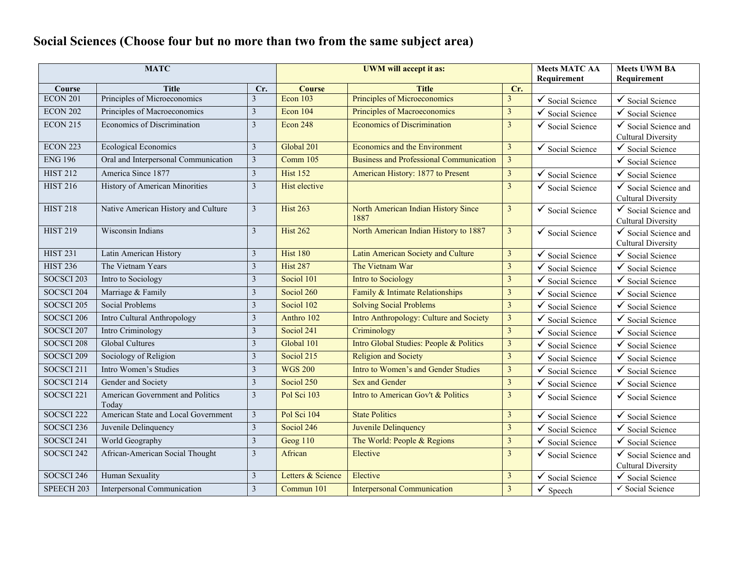# **Social Sciences (Choose four but no more than two from the same subject area)**

| <b>MATC</b>           |                                           |                         |                      | UWM will accept it as:                         | <b>Meets MATC AA</b><br>Requirement | <b>Meets UWM BA</b><br>Requirement |                                                              |
|-----------------------|-------------------------------------------|-------------------------|----------------------|------------------------------------------------|-------------------------------------|------------------------------------|--------------------------------------------------------------|
| Course                | <b>Title</b>                              | Cr.                     | <b>Course</b>        | <b>Title</b>                                   | Cr.                                 |                                    |                                                              |
| ECON 201              | Principles of Microeconomics              | 3                       | Econ 103             | Principles of Microeconomics                   | 3                                   | $\checkmark$ Social Science        | $\checkmark$ Social Science                                  |
| <b>ECON 202</b>       | Principles of Macroeconomics              | $\mathfrak{Z}$          | Econ 104             | <b>Principles of Macroeconomics</b>            | $\overline{\mathbf{3}}$             | Social Science                     | ✓<br>Social Science                                          |
| <b>ECON 215</b>       | <b>Economics of Discrimination</b>        | 3                       | <b>Econ 248</b>      | <b>Economics of Discrimination</b>             | $\overline{3}$                      | $\checkmark$ Social Science        | ✓<br>Social Science and<br><b>Cultural Diversity</b>         |
| <b>ECON 223</b>       | <b>Ecological Economics</b>               | $\mathfrak{Z}$          | Global 201           | Economics and the Environment                  | $\overline{3}$                      | $\checkmark$ Social Science        | $\checkmark$ Social Science                                  |
| <b>ENG 196</b>        | Oral and Interpersonal Communication      | $\overline{\mathbf{3}}$ | Comm $105$           | <b>Business and Professional Communication</b> | $\overline{3}$                      |                                    | Social Science                                               |
| <b>HIST 212</b>       | America Since 1877                        | $\mathfrak{Z}$          | <b>Hist 152</b>      | American History: 1877 to Present              | $\overline{\mathbf{3}}$             | ✓<br>Social Science                | ✓<br>Social Science                                          |
| <b>HIST 216</b>       | History of American Minorities            | $\mathfrak{Z}$          | <b>Hist</b> elective |                                                | $\overline{3}$                      | $\checkmark$ Social Science        | Social Science and<br>✓<br><b>Cultural Diversity</b>         |
| <b>HIST 218</b>       | Native American History and Culture       | $\mathfrak{Z}$          | <b>Hist 263</b>      | North American Indian History Since<br>1887    | $\overline{3}$                      | $\checkmark$ Social Science        | $\checkmark$ Social Science and<br><b>Cultural Diversity</b> |
| <b>HIST 219</b>       | Wisconsin Indians                         | $\mathfrak{Z}$          | <b>Hist 262</b>      | North American Indian History to 1887          | $\overline{\mathbf{3}}$             | $\checkmark$ Social Science        | $\checkmark$ Social Science and<br><b>Cultural Diversity</b> |
| <b>HIST 231</b>       | Latin American History                    | $\mathfrak{Z}$          | <b>Hist 180</b>      | Latin American Society and Culture             | $\overline{\mathbf{3}}$             | $\checkmark$ Social Science        | $\checkmark$ Social Science                                  |
| <b>HIST 236</b>       | The Vietnam Years                         | $\mathfrak{Z}$          | <b>Hist 287</b>      | The Vietnam War                                | $\overline{3}$                      | Social Science                     | Social Science                                               |
| <b>SOCSCI 203</b>     | Intro to Sociology                        | $\mathfrak{Z}$          | Sociol 101           | <b>Intro to Sociology</b>                      | 3                                   | ✓<br>Social Science                | Social Science<br>✔                                          |
| SOCSCI 204            | Marriage & Family                         | $\mathfrak{Z}$          | Sociol 260           | Family & Intimate Relationships                | $\overline{\mathbf{3}}$             | Social Science                     | ✓<br>Social Science                                          |
| SOCSCI 205            | <b>Social Problems</b>                    | $\mathfrak{Z}$          | Sociol $102$         | <b>Solving Social Problems</b>                 | $\overline{3}$                      | ✓<br>Social Science                | ✓<br>Social Science                                          |
| SOCSCI 206            | Intro Cultural Anthropology               | $\mathfrak{Z}$          | Anthro 102           | Intro Anthropology: Culture and Society        | $\overline{\mathbf{3}}$             | Social Science                     | ✓<br>Social Science                                          |
| SOCSCI 207            | Intro Criminology                         | $\mathfrak{Z}$          | Sociol 241           | Criminology                                    | $\overline{3}$                      | Social Science                     | ✓<br>Social Science                                          |
| SOCSCI <sub>208</sub> | <b>Global Cultures</b>                    | $\mathfrak{Z}$          | Global 101           | Intro Global Studies: People & Politics        | $\overline{3}$                      | Social Science                     | ✓<br>Social Science                                          |
| <b>SOCSCI 209</b>     | Sociology of Religion                     | $\overline{3}$          | Sociol 215           | <b>Religion and Society</b>                    | $\overline{3}$                      | Social Science                     | Social Science                                               |
| SOCSCI 211            | Intro Women's Studies                     | $\mathfrak{Z}$          | <b>WGS 200</b>       | Intro to Women's and Gender Studies            | $\overline{3}$                      | ✓<br>Social Science                | ✓<br>Social Science                                          |
| SOCSCI 214            | Gender and Society                        | $\overline{3}$          | Sociol 250           | <b>Sex and Gender</b>                          | $\overline{\mathbf{3}}$             | Social Science                     | ✓<br>Social Science                                          |
| SOCSCI 221            | American Government and Politics<br>Today | $\mathfrak{Z}$          | Pol Sci 103          | Intro to American Gov't & Politics             | $\overline{3}$                      | $\checkmark$ Social Science        | $\checkmark$ Social Science                                  |
| SOCSCI <sub>222</sub> | American State and Local Government       | $\overline{3}$          | Pol Sci 104          | <b>State Politics</b>                          | $\overline{\mathbf{3}}$             | ✓<br>Social Science                | Social Science<br>✓                                          |
| SOCSCI <sub>236</sub> | Juvenile Delinquency                      | $\mathfrak{Z}$          | Sociol 246           | Juvenile Delinquency                           | $\overline{3}$                      | Social Science                     | ✓<br>Social Science                                          |
| SOCSCI 241            | World Geography                           | $\overline{3}$          | Geog 110             | The World: People & Regions                    | $\overline{\mathbf{3}}$             | Social Science                     | ✓<br>Social Science                                          |
| SOCSCI 242            | African-American Social Thought           | 3                       | African              | Elective                                       | 3                                   | $\checkmark$ Social Science        | ✓<br>Social Science and<br><b>Cultural Diversity</b>         |
| SOCSCI 246            | Human Sexuality                           | $\mathfrak{Z}$          | Letters & Science    | Elective                                       | $\overline{3}$                      | $\checkmark$ Social Science        | ✓<br>Social Science                                          |
| SPEECH 203            | Interpersonal Communication               | $\overline{3}$          | Commun 101           | <b>Interpersonal Communication</b>             | 3                                   | $\checkmark$<br>Speech             | √ Social Science                                             |